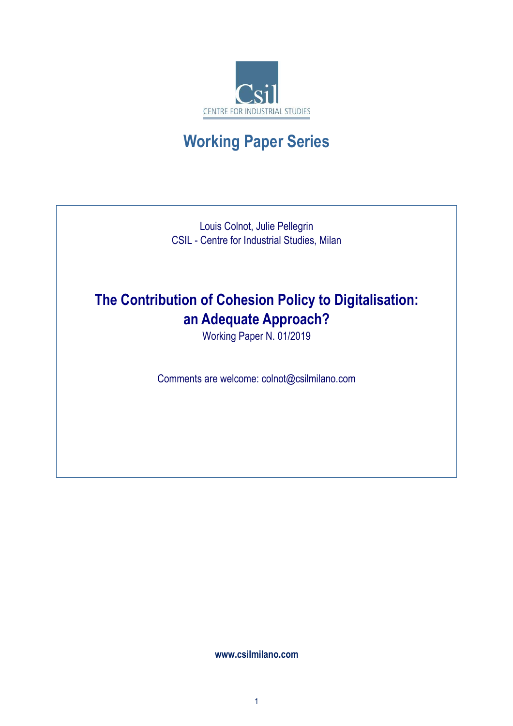

# **Working Paper Series**

Louis Colnot, Julie Pellegrin CSIL - Centre for Industrial Studies, Milan

# **The Contribution of Cohesion Policy to Digitalisation: an Adequate Approach?**

Working Paper N. 01/2019

Comments are welcome: colnot@csilmilano.com

**www.csilmilano.com**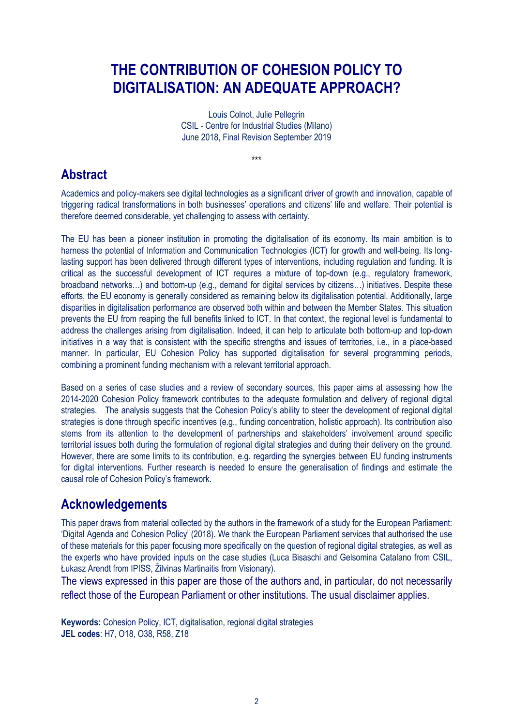## **THE CONTRIBUTION OF COHESION POLICY TO DIGITALISATION: AN ADEQUATE APPROACH?**

Louis Colnot, Julie Pellegrin CSIL - Centre for Industrial Studies (Milano) June 2018, Final Revision September 2019

\*\*\*

## **Abstract**

Academics and policy-makers see digital technologies as a significant driver of growth and innovation, capable of triggering radical transformations in both businesses' operations and citizens' life and welfare. Their potential is therefore deemed considerable, yet challenging to assess with certainty.

The EU has been a pioneer institution in promoting the digitalisation of its economy. Its main ambition is to harness the potential of Information and Communication Technologies (ICT) for growth and well-being. Its longlasting support has been delivered through different types of interventions, including regulation and funding. It is critical as the successful development of ICT requires a mixture of top-down (e.g., regulatory framework, broadband networks…) and bottom-up (e.g., demand for digital services by citizens…) initiatives. Despite these efforts, the EU economy is generally considered as remaining below its digitalisation potential. Additionally, large disparities in digitalisation performance are observed both within and between the Member States. This situation prevents the EU from reaping the full benefits linked to ICT. In that context, the regional level is fundamental to address the challenges arising from digitalisation. Indeed, it can help to articulate both bottom-up and top-down initiatives in a way that is consistent with the specific strengths and issues of territories, i.e., in a place-based manner. In particular, EU Cohesion Policy has supported digitalisation for several programming periods, combining a prominent funding mechanism with a relevant territorial approach.

Based on a series of case studies and a review of secondary sources, this paper aims at assessing how the 2014-2020 Cohesion Policy framework contributes to the adequate formulation and delivery of regional digital strategies. The analysis suggests that the Cohesion Policy's ability to steer the development of regional digital strategies is done through specific incentives (e.g., funding concentration, holistic approach). Its contribution also stems from its attention to the development of partnerships and stakeholders' involvement around specific territorial issues both during the formulation of regional digital strategies and during their delivery on the ground. However, there are some limits to its contribution, e.g. regarding the synergies between EU funding instruments for digital interventions. Further research is needed to ensure the generalisation of findings and estimate the causal role of Cohesion Policy's framework.

## **Acknowledgements**

This paper draws from material collected by the authors in the framework of a study for the European Parliament: 'Digital Agenda and Cohesion Policy' (2018). We thank the European Parliament services that authorised the use of these materials for this paper focusing more specifically on the question of regional digital strategies, as well as the experts who have provided inputs on the case studies (Luca Bisaschi and Gelsomina Catalano from CSIL, Łukasz Arendt from IPISS, Žilvinas Martinaitis from Visionary).

The views expressed in this paper are those of the authors and, in particular, do not necessarily reflect those of the European Parliament or other institutions. The usual disclaimer applies.

**Keywords:** Cohesion Policy, ICT, digitalisation, regional digital strategies **JEL codes**: H7, O18, O38, R58, Z18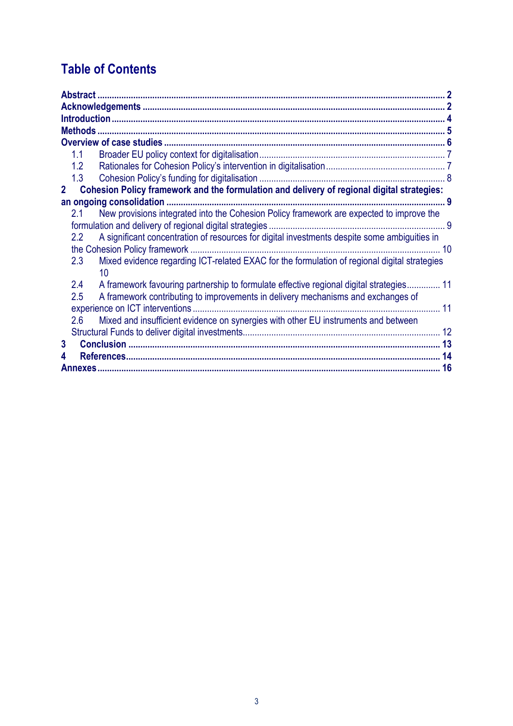## **Table of Contents**

|              | 1.1                                                                                        |                                                                                              |  |  |  |  |  |  |  |
|--------------|--------------------------------------------------------------------------------------------|----------------------------------------------------------------------------------------------|--|--|--|--|--|--|--|
|              | 1.2                                                                                        |                                                                                              |  |  |  |  |  |  |  |
|              | 1.3                                                                                        |                                                                                              |  |  |  |  |  |  |  |
| $\mathbf{2}$ | Cohesion Policy framework and the formulation and delivery of regional digital strategies: |                                                                                              |  |  |  |  |  |  |  |
|              |                                                                                            |                                                                                              |  |  |  |  |  |  |  |
|              | 2.1                                                                                        | New provisions integrated into the Cohesion Policy framework are expected to improve the     |  |  |  |  |  |  |  |
|              |                                                                                            |                                                                                              |  |  |  |  |  |  |  |
|              | 2.2                                                                                        | A significant concentration of resources for digital investments despite some ambiguities in |  |  |  |  |  |  |  |
|              |                                                                                            |                                                                                              |  |  |  |  |  |  |  |
|              | 2.3                                                                                        | Mixed evidence regarding ICT-related EXAC for the formulation of regional digital strategies |  |  |  |  |  |  |  |
|              |                                                                                            | 10                                                                                           |  |  |  |  |  |  |  |
|              | 2.4                                                                                        | A framework favouring partnership to formulate effective regional digital strategies 11      |  |  |  |  |  |  |  |
|              | 2.5                                                                                        | A framework contributing to improvements in delivery mechanisms and exchanges of             |  |  |  |  |  |  |  |
|              | 11                                                                                         |                                                                                              |  |  |  |  |  |  |  |
|              | 2.6                                                                                        | Mixed and insufficient evidence on synergies with other EU instruments and between           |  |  |  |  |  |  |  |
|              |                                                                                            |                                                                                              |  |  |  |  |  |  |  |
| 3            |                                                                                            |                                                                                              |  |  |  |  |  |  |  |
|              |                                                                                            |                                                                                              |  |  |  |  |  |  |  |
|              |                                                                                            |                                                                                              |  |  |  |  |  |  |  |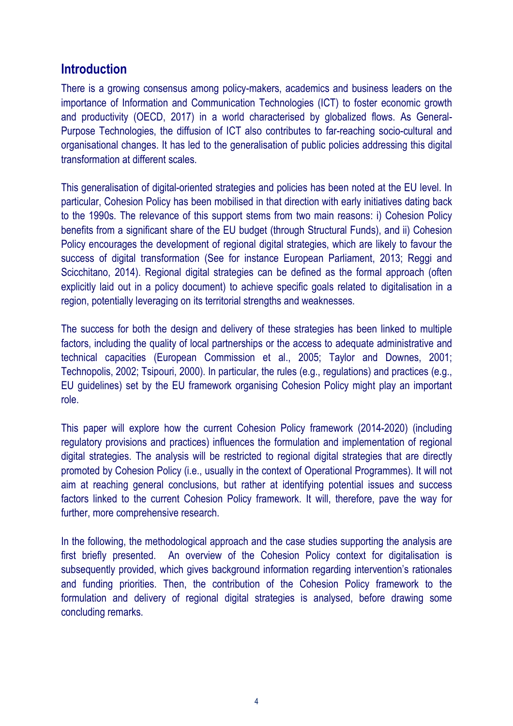### **Introduction**

There is a growing consensus among policy-makers, academics and business leaders on the importance of Information and Communication Technologies (ICT) to foster economic growth and productivity (OECD, 2017) in a world characterised by globalized flows. As General-Purpose Technologies, the diffusion of ICT also contributes to far-reaching socio-cultural and organisational changes. It has led to the generalisation of public policies addressing this digital transformation at different scales.

This generalisation of digital-oriented strategies and policies has been noted at the EU level. In particular, Cohesion Policy has been mobilised in that direction with early initiatives dating back to the 1990s. The relevance of this support stems from two main reasons: i) Cohesion Policy benefits from a significant share of the EU budget (through Structural Funds), and ii) Cohesion Policy encourages the development of regional digital strategies, which are likely to favour the success of digital transformation (See for instance European Parliament, 2013; Reggi and Scicchitano, 2014). Regional digital strategies can be defined as the formal approach (often explicitly laid out in a policy document) to achieve specific goals related to digitalisation in a region, potentially leveraging on its territorial strengths and weaknesses.

The success for both the design and delivery of these strategies has been linked to multiple factors, including the quality of local partnerships or the access to adequate administrative and technical capacities (European Commission et al., 2005; Taylor and Downes, 2001; Technopolis, 2002; Tsipouri, 2000). In particular, the rules (e.g., regulations) and practices (e.g., EU guidelines) set by the EU framework organising Cohesion Policy might play an important role.

This paper will explore how the current Cohesion Policy framework (2014-2020) (including regulatory provisions and practices) influences the formulation and implementation of regional digital strategies. The analysis will be restricted to regional digital strategies that are directly promoted by Cohesion Policy (i.e., usually in the context of Operational Programmes). It will not aim at reaching general conclusions, but rather at identifying potential issues and success factors linked to the current Cohesion Policy framework. It will, therefore, pave the way for further, more comprehensive research.

In the following, the methodological approach and the case studies supporting the analysis are first briefly presented. An overview of the Cohesion Policy context for digitalisation is subsequently provided, which gives background information regarding intervention's rationales and funding priorities. Then, the contribution of the Cohesion Policy framework to the formulation and delivery of regional digital strategies is analysed, before drawing some concluding remarks.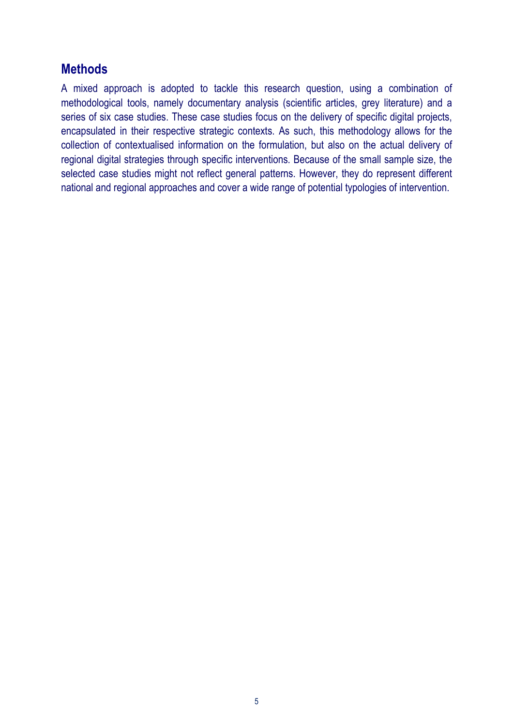### **Methods**

A mixed approach is adopted to tackle this research question, using a combination of methodological tools, namely documentary analysis (scientific articles, grey literature) and a series of six case studies. These case studies focus on the delivery of specific digital projects, encapsulated in their respective strategic contexts. As such, this methodology allows for the collection of contextualised information on the formulation, but also on the actual delivery of regional digital strategies through specific interventions. Because of the small sample size, the selected case studies might not reflect general patterns. However, they do represent different national and regional approaches and cover a wide range of potential typologies of intervention.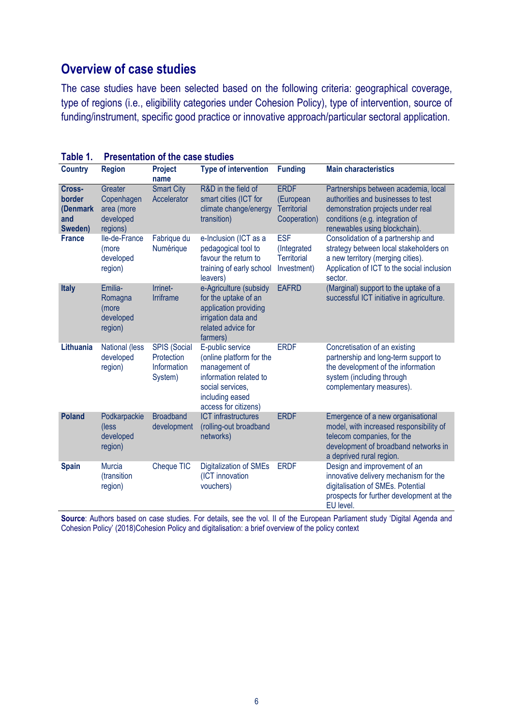### **Overview of case studies**

The case studies have been selected based on the following criteria: geographical coverage, type of regions (i.e., eligibility categories under Cohesion Policy), type of intervention, source of funding/instrument, specific good practice or innovative approach/particular sectoral application.

| <b>Country</b>                                 | <b>Region</b>                                                | <b>Project</b><br>name                                      | <b>Type of intervention</b>                                                                                                                            | <b>Funding</b>                                                 | <b>Main characteristics</b>                                                                                                                                                         |
|------------------------------------------------|--------------------------------------------------------------|-------------------------------------------------------------|--------------------------------------------------------------------------------------------------------------------------------------------------------|----------------------------------------------------------------|-------------------------------------------------------------------------------------------------------------------------------------------------------------------------------------|
| Cross-<br>border<br>(Denmark<br>and<br>Sweden) | Greater<br>Copenhagen<br>area (more<br>developed<br>regions) | <b>Smart City</b><br>Accelerator                            | R&D in the field of<br>smart cities (ICT for<br>climate change/energy<br>transition)                                                                   | <b>ERDF</b><br>(European<br><b>Territorial</b><br>Cooperation) | Partnerships between academia, local<br>authorities and businesses to test<br>demonstration projects under real<br>conditions (e.g. integration of<br>renewables using blockchain). |
| <b>France</b>                                  | Ile-de-France<br>(more<br>developed<br>region)               | Fabrique du<br>Numérique                                    | e-Inclusion (ICT as a<br>pedagogical tool to<br>favour the return to<br>training of early school<br>leavers)                                           | <b>ESF</b><br>(Integrated<br><b>Territorial</b><br>Investment) | Consolidation of a partnership and<br>strategy between local stakeholders on<br>a new territory (merging cities).<br>Application of ICT to the social inclusion<br>sector.          |
| <b>Italy</b>                                   | Emilia-<br>Romagna<br>(more<br>developed<br>region)          | Irrinet-<br><b>Irriframe</b>                                | e-Agriculture (subsidy<br>for the uptake of an<br>application providing<br>irrigation data and<br>related advice for<br>farmers)                       | <b>EAFRD</b>                                                   | (Marginal) support to the uptake of a<br>successful ICT initiative in agriculture.                                                                                                  |
| Lithuania                                      | National (less<br>developed<br>region)                       | <b>SPIS (Social</b><br>Protection<br>Information<br>System) | E-public service<br>(online platform for the<br>management of<br>information related to<br>social services,<br>including eased<br>access for citizens) | <b>ERDF</b>                                                    | Concretisation of an existing<br>partnership and long-term support to<br>the development of the information<br>system (including through<br>complementary measures).                |
| <b>Poland</b>                                  | Podkarpackie<br>(less<br>developed<br>region)                | <b>Broadband</b><br>development                             | <b>ICT</b> infrastructures<br>(rolling-out broadband<br>networks)                                                                                      | <b>ERDF</b>                                                    | Emergence of a new organisational<br>model, with increased responsibility of<br>telecom companies, for the<br>development of broadband networks in<br>a deprived rural region.      |
| <b>Spain</b>                                   | <b>Murcia</b><br>(transition<br>region)                      | Cheque TIC                                                  | Digitalization of SMEs<br>(ICT innovation<br>vouchers)                                                                                                 | <b>ERDF</b>                                                    | Design and improvement of an<br>innovative delivery mechanism for the<br>digitalisation of SMEs. Potential<br>prospects for further development at the<br>EU level.                 |

**Table 1. Presentation of the case studies** 

**Source**: Authors based on case studies. For details, see the vol. II of the European Parliament study 'Digital Agenda and Cohesion Policy' (2018)Cohesion Policy and digitalisation: a brief overview of the policy context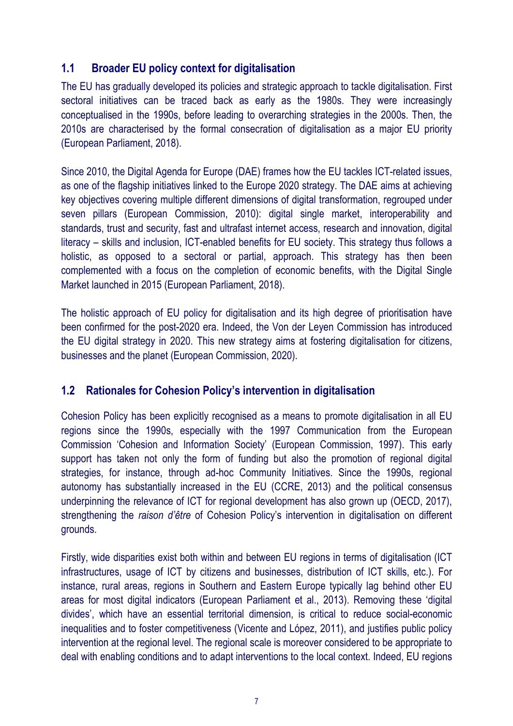### **1.1 Broader EU policy context for digitalisation**

The EU has gradually developed its policies and strategic approach to tackle digitalisation. First sectoral initiatives can be traced back as early as the 1980s. They were increasingly conceptualised in the 1990s, before leading to overarching strategies in the 2000s. Then, the 2010s are characterised by the formal consecration of digitalisation as a major EU priority (European Parliament, 2018).

Since 2010, the Digital Agenda for Europe (DAE) frames how the EU tackles ICT-related issues, as one of the flagship initiatives linked to the Europe 2020 strategy. The DAE aims at achieving key objectives covering multiple different dimensions of digital transformation, regrouped under seven pillars (European Commission, 2010): digital single market, interoperability and standards, trust and security, fast and ultrafast internet access, research and innovation, digital literacy – skills and inclusion, ICT-enabled benefits for EU society. This strategy thus follows a holistic, as opposed to a sectoral or partial, approach. This strategy has then been complemented with a focus on the completion of economic benefits, with the Digital Single Market launched in 2015 (European Parliament, 2018).

The holistic approach of EU policy for digitalisation and its high degree of prioritisation have been confirmed for the post-2020 era. Indeed, the Von der Leyen Commission has introduced the EU digital strategy in 2020. This new strategy aims at fostering digitalisation for citizens, businesses and the planet (European Commission, 2020).

### **1.2 Rationales for Cohesion Policy's intervention in digitalisation**

Cohesion Policy has been explicitly recognised as a means to promote digitalisation in all EU regions since the 1990s, especially with the 1997 Communication from the European Commission 'Cohesion and Information Society' (European Commission, 1997). This early support has taken not only the form of funding but also the promotion of regional digital strategies, for instance, through ad-hoc Community Initiatives. Since the 1990s, regional autonomy has substantially increased in the EU (CCRE, 2013) and the political consensus underpinning the relevance of ICT for regional development has also grown up (OECD, 2017), strengthening the *raison d'être* of Cohesion Policy's intervention in digitalisation on different grounds.

Firstly, wide disparities exist both within and between EU regions in terms of digitalisation (ICT infrastructures, usage of ICT by citizens and businesses, distribution of ICT skills, etc.). For instance, rural areas, regions in Southern and Eastern Europe typically lag behind other EU areas for most digital indicators (European Parliament et al., 2013). Removing these 'digital divides', which have an essential territorial dimension, is critical to reduce social-economic inequalities and to foster competitiveness (Vicente and López, 2011), and justifies public policy intervention at the regional level. The regional scale is moreover considered to be appropriate to deal with enabling conditions and to adapt interventions to the local context. Indeed, EU regions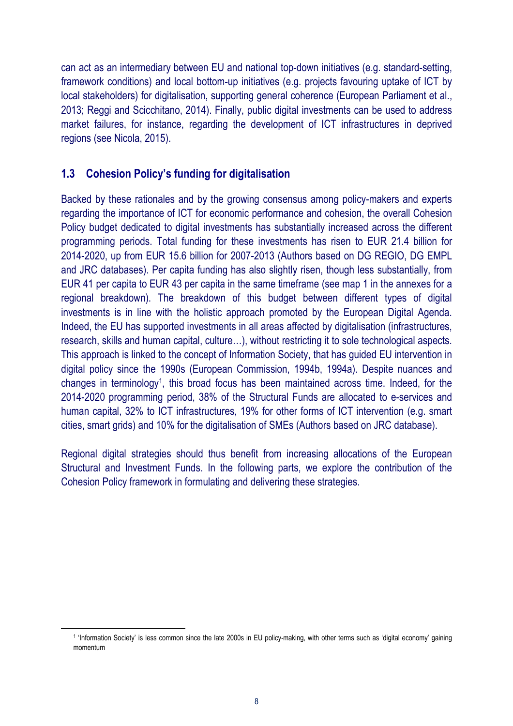can act as an intermediary between EU and national top-down initiatives (e.g. standard-setting, framework conditions) and local bottom-up initiatives (e.g. projects favouring uptake of ICT by local stakeholders) for digitalisation, supporting general coherence (European Parliament et al., 2013; Reggi and Scicchitano, 2014). Finally, public digital investments can be used to address market failures, for instance, regarding the development of ICT infrastructures in deprived regions (see Nicola, 2015).

### **1.3 Cohesion Policy's funding for digitalisation**

Backed by these rationales and by the growing consensus among policy-makers and experts regarding the importance of ICT for economic performance and cohesion, the overall Cohesion Policy budget dedicated to digital investments has substantially increased across the different programming periods. Total funding for these investments has risen to EUR 21.4 billion for 2014-2020, up from EUR 15.6 billion for 2007-2013 (Authors based on DG REGIO, DG EMPL and JRC databases). Per capita funding has also slightly risen, though less substantially, from EUR 41 per capita to EUR 43 per capita in the same timeframe (see map 1 in the annexes for a regional breakdown). The breakdown of this budget between different types of digital investments is in line with the holistic approach promoted by the European Digital Agenda. Indeed, the EU has supported investments in all areas affected by digitalisation (infrastructures, research, skills and human capital, culture…), without restricting it to sole technological aspects. This approach is linked to the concept of Information Society, that has guided EU intervention in digital policy since the 1990s (European Commission, 1994b, 1994a). Despite nuances and changes in terminology<sup>1</sup> , this broad focus has been maintained across time. Indeed, for the 2014-2020 programming period, 38% of the Structural Funds are allocated to e-services and human capital, 32% to ICT infrastructures, 19% for other forms of ICT intervention (e.g. smart cities, smart grids) and 10% for the digitalisation of SMEs (Authors based on JRC database).

Regional digital strategies should thus benefit from increasing allocations of the European Structural and Investment Funds. In the following parts, we explore the contribution of the Cohesion Policy framework in formulating and delivering these strategies.

 $\overline{a}$ 

<sup>1</sup> 'Information Society' is less common since the late 2000s in EU policy-making, with other terms such as 'digital economy' gaining momentum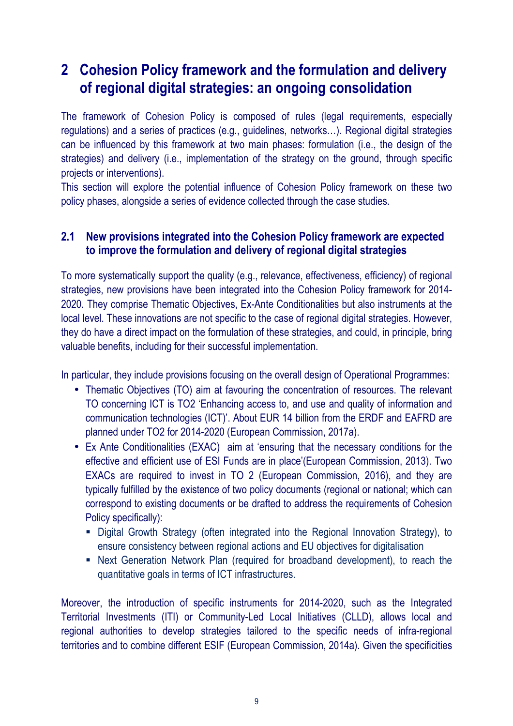## **2 Cohesion Policy framework and the formulation and delivery of regional digital strategies: an ongoing consolidation**

The framework of Cohesion Policy is composed of rules (legal requirements, especially regulations) and a series of practices (e.g., guidelines, networks…). Regional digital strategies can be influenced by this framework at two main phases: formulation (i.e., the design of the strategies) and delivery (i.e., implementation of the strategy on the ground, through specific projects or interventions).

This section will explore the potential influence of Cohesion Policy framework on these two policy phases, alongside a series of evidence collected through the case studies.

### **2.1 New provisions integrated into the Cohesion Policy framework are expected to improve the formulation and delivery of regional digital strategies**

To more systematically support the quality (e.g., relevance, effectiveness, efficiency) of regional strategies, new provisions have been integrated into the Cohesion Policy framework for 2014-2020. They comprise Thematic Objectives, Ex-Ante Conditionalities but also instruments at the local level. These innovations are not specific to the case of regional digital strategies. However, they do have a direct impact on the formulation of these strategies, and could, in principle, bring valuable benefits, including for their successful implementation.

In particular, they include provisions focusing on the overall design of Operational Programmes:

- Thematic Objectives (TO) aim at favouring the concentration of resources. The relevant TO concerning ICT is TO2 'Enhancing access to, and use and quality of information and communication technologies (ICT)'. About EUR 14 billion from the ERDF and EAFRD are planned under TO2 for 2014-2020 (European Commission, 2017a).
- Ex Ante Conditionalities (EXAC) aim at 'ensuring that the necessary conditions for the effective and efficient use of ESI Funds are in place'(European Commission, 2013). Two EXACs are required to invest in TO 2 (European Commission, 2016), and they are typically fulfilled by the existence of two policy documents (regional or national; which can correspond to existing documents or be drafted to address the requirements of Cohesion Policy specifically):
	- Digital Growth Strategy (often integrated into the Regional Innovation Strategy), to ensure consistency between regional actions and EU objectives for digitalisation
	- Next Generation Network Plan (required for broadband development), to reach the quantitative goals in terms of ICT infrastructures.

Moreover, the introduction of specific instruments for 2014-2020, such as the Integrated Territorial Investments (ITI) or Community-Led Local Initiatives (CLLD), allows local and regional authorities to develop strategies tailored to the specific needs of infra-regional territories and to combine different ESIF (European Commission, 2014a). Given the specificities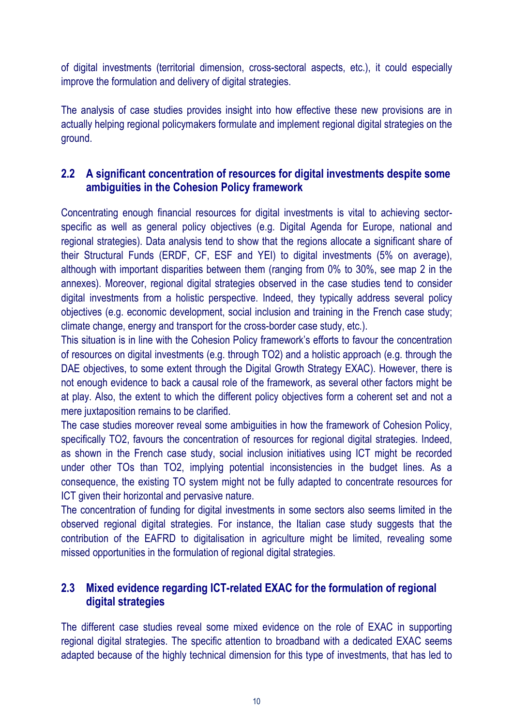of digital investments (territorial dimension, cross-sectoral aspects, etc.), it could especially improve the formulation and delivery of digital strategies.

The analysis of case studies provides insight into how effective these new provisions are in actually helping regional policymakers formulate and implement regional digital strategies on the ground.

### **2.2 A significant concentration of resources for digital investments despite some ambiguities in the Cohesion Policy framework**

Concentrating enough financial resources for digital investments is vital to achieving sectorspecific as well as general policy objectives (e.g. Digital Agenda for Europe, national and regional strategies). Data analysis tend to show that the regions allocate a significant share of their Structural Funds (ERDF, CF, ESF and YEI) to digital investments (5% on average), although with important disparities between them (ranging from 0% to 30%, see map 2 in the annexes). Moreover, regional digital strategies observed in the case studies tend to consider digital investments from a holistic perspective. Indeed, they typically address several policy objectives (e.g. economic development, social inclusion and training in the French case study; climate change, energy and transport for the cross-border case study, etc.).

This situation is in line with the Cohesion Policy framework's efforts to favour the concentration of resources on digital investments (e.g. through TO2) and a holistic approach (e.g. through the DAE objectives, to some extent through the Digital Growth Strategy EXAC). However, there is not enough evidence to back a causal role of the framework, as several other factors might be at play. Also, the extent to which the different policy objectives form a coherent set and not a mere juxtaposition remains to be clarified.

The case studies moreover reveal some ambiguities in how the framework of Cohesion Policy, specifically TO2, favours the concentration of resources for regional digital strategies. Indeed, as shown in the French case study, social inclusion initiatives using ICT might be recorded under other TOs than TO2, implying potential inconsistencies in the budget lines. As a consequence, the existing TO system might not be fully adapted to concentrate resources for ICT given their horizontal and pervasive nature.

The concentration of funding for digital investments in some sectors also seems limited in the observed regional digital strategies. For instance, the Italian case study suggests that the contribution of the EAFRD to digitalisation in agriculture might be limited, revealing some missed opportunities in the formulation of regional digital strategies.

### **2.3 Mixed evidence regarding ICT-related EXAC for the formulation of regional digital strategies**

The different case studies reveal some mixed evidence on the role of EXAC in supporting regional digital strategies. The specific attention to broadband with a dedicated EXAC seems adapted because of the highly technical dimension for this type of investments, that has led to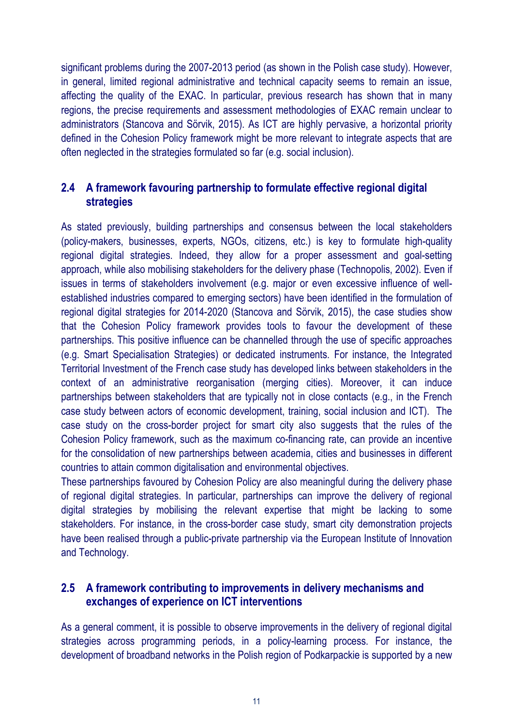significant problems during the 2007-2013 period (as shown in the Polish case study). However, in general, limited regional administrative and technical capacity seems to remain an issue, affecting the quality of the EXAC. In particular, previous research has shown that in many regions, the precise requirements and assessment methodologies of EXAC remain unclear to administrators (Stancova and Sörvik, 2015). As ICT are highly pervasive, a horizontal priority defined in the Cohesion Policy framework might be more relevant to integrate aspects that are often neglected in the strategies formulated so far (e.g. social inclusion).

### **2.4 A framework favouring partnership to formulate effective regional digital strategies**

As stated previously, building partnerships and consensus between the local stakeholders (policy-makers, businesses, experts, NGOs, citizens, etc.) is key to formulate high-quality regional digital strategies. Indeed, they allow for a proper assessment and goal-setting approach, while also mobilising stakeholders for the delivery phase (Technopolis, 2002). Even if issues in terms of stakeholders involvement (e.g. major or even excessive influence of wellestablished industries compared to emerging sectors) have been identified in the formulation of regional digital strategies for 2014-2020 (Stancova and Sörvik, 2015), the case studies show that the Cohesion Policy framework provides tools to favour the development of these partnerships. This positive influence can be channelled through the use of specific approaches (e.g. Smart Specialisation Strategies) or dedicated instruments. For instance, the Integrated Territorial Investment of the French case study has developed links between stakeholders in the context of an administrative reorganisation (merging cities). Moreover, it can induce partnerships between stakeholders that are typically not in close contacts (e.g., in the French case study between actors of economic development, training, social inclusion and ICT). The case study on the cross-border project for smart city also suggests that the rules of the Cohesion Policy framework, such as the maximum co-financing rate, can provide an incentive for the consolidation of new partnerships between academia, cities and businesses in different countries to attain common digitalisation and environmental objectives.

These partnerships favoured by Cohesion Policy are also meaningful during the delivery phase of regional digital strategies. In particular, partnerships can improve the delivery of regional digital strategies by mobilising the relevant expertise that might be lacking to some stakeholders. For instance, in the cross-border case study, smart city demonstration projects have been realised through a public-private partnership via the European Institute of Innovation and Technology.

### **2.5 A framework contributing to improvements in delivery mechanisms and exchanges of experience on ICT interventions**

As a general comment, it is possible to observe improvements in the delivery of regional digital strategies across programming periods, in a policy-learning process. For instance, the development of broadband networks in the Polish region of Podkarpackie is supported by a new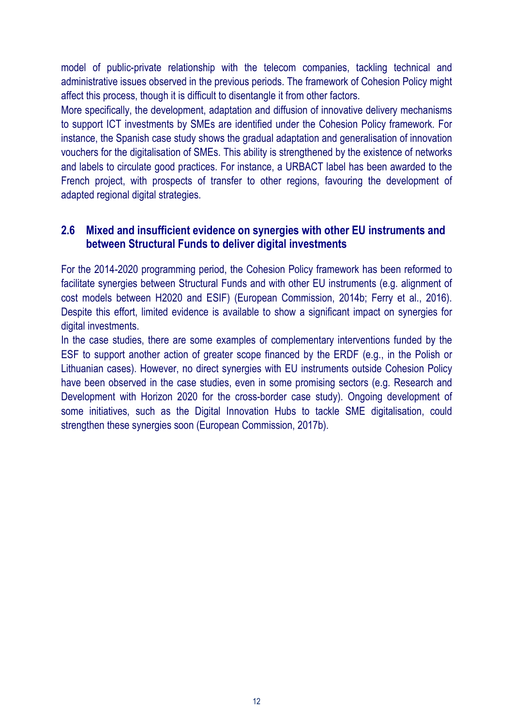model of public-private relationship with the telecom companies, tackling technical and administrative issues observed in the previous periods. The framework of Cohesion Policy might affect this process, though it is difficult to disentangle it from other factors.

More specifically, the development, adaptation and diffusion of innovative delivery mechanisms to support ICT investments by SMEs are identified under the Cohesion Policy framework. For instance, the Spanish case study shows the gradual adaptation and generalisation of innovation vouchers for the digitalisation of SMEs. This ability is strengthened by the existence of networks and labels to circulate good practices. For instance, a URBACT label has been awarded to the French project, with prospects of transfer to other regions, favouring the development of adapted regional digital strategies.

### **2.6 Mixed and insufficient evidence on synergies with other EU instruments and between Structural Funds to deliver digital investments**

For the 2014-2020 programming period, the Cohesion Policy framework has been reformed to facilitate synergies between Structural Funds and with other EU instruments (e.g. alignment of cost models between H2020 and ESIF) (European Commission, 2014b; Ferry et al., 2016). Despite this effort, limited evidence is available to show a significant impact on synergies for digital investments.

In the case studies, there are some examples of complementary interventions funded by the ESF to support another action of greater scope financed by the ERDF (e.g., in the Polish or Lithuanian cases). However, no direct synergies with EU instruments outside Cohesion Policy have been observed in the case studies, even in some promising sectors (e.g. Research and Development with Horizon 2020 for the cross-border case study). Ongoing development of some initiatives, such as the Digital Innovation Hubs to tackle SME digitalisation, could strengthen these synergies soon (European Commission, 2017b).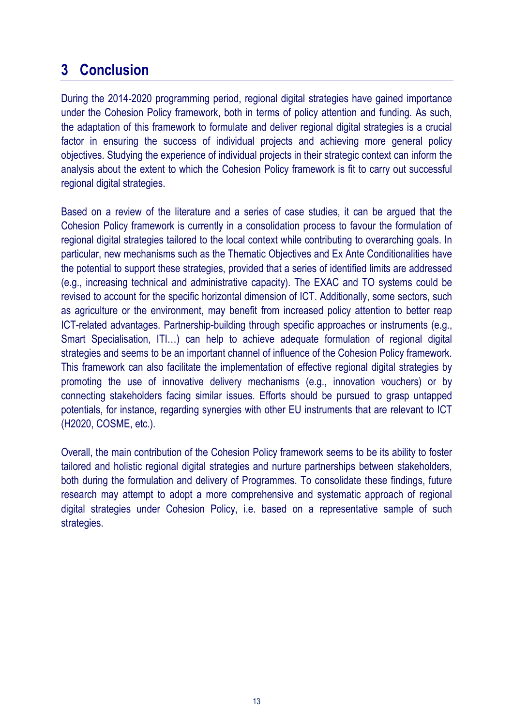# **3 Conclusion**

During the 2014-2020 programming period, regional digital strategies have gained importance under the Cohesion Policy framework, both in terms of policy attention and funding. As such, the adaptation of this framework to formulate and deliver regional digital strategies is a crucial factor in ensuring the success of individual projects and achieving more general policy objectives. Studying the experience of individual projects in their strategic context can inform the analysis about the extent to which the Cohesion Policy framework is fit to carry out successful regional digital strategies.

Based on a review of the literature and a series of case studies, it can be argued that the Cohesion Policy framework is currently in a consolidation process to favour the formulation of regional digital strategies tailored to the local context while contributing to overarching goals. In particular, new mechanisms such as the Thematic Objectives and Ex Ante Conditionalities have the potential to support these strategies, provided that a series of identified limits are addressed (e.g., increasing technical and administrative capacity). The EXAC and TO systems could be revised to account for the specific horizontal dimension of ICT. Additionally, some sectors, such as agriculture or the environment, may benefit from increased policy attention to better reap ICT-related advantages. Partnership-building through specific approaches or instruments (e.g., Smart Specialisation, ITI…) can help to achieve adequate formulation of regional digital strategies and seems to be an important channel of influence of the Cohesion Policy framework. This framework can also facilitate the implementation of effective regional digital strategies by promoting the use of innovative delivery mechanisms (e.g., innovation vouchers) or by connecting stakeholders facing similar issues. Efforts should be pursued to grasp untapped potentials, for instance, regarding synergies with other EU instruments that are relevant to ICT (H2020, COSME, etc.).

Overall, the main contribution of the Cohesion Policy framework seems to be its ability to foster tailored and holistic regional digital strategies and nurture partnerships between stakeholders, both during the formulation and delivery of Programmes. To consolidate these findings, future research may attempt to adopt a more comprehensive and systematic approach of regional digital strategies under Cohesion Policy, i.e. based on a representative sample of such strategies.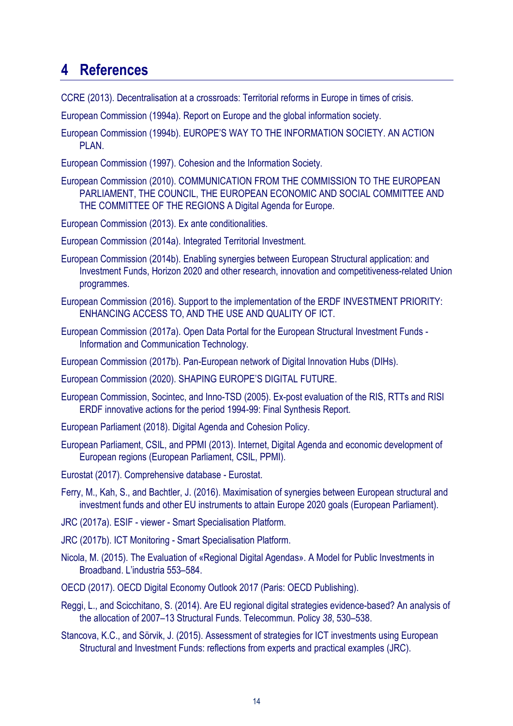## **4 References**

CCRE (2013). Decentralisation at a crossroads: Territorial reforms in Europe in times of crisis.

European Commission (1994a). Report on Europe and the global information society.

European Commission (1994b). EUROPE'S WAY TO THE INFORMATION SOCIETY. AN ACTION PLAN.

European Commission (1997). Cohesion and the Information Society.

European Commission (2010). COMMUNICATION FROM THE COMMISSION TO THE EUROPEAN PARLIAMENT, THE COUNCIL, THE EUROPEAN ECONOMIC AND SOCIAL COMMITTEE AND THE COMMITTEE OF THE REGIONS A Digital Agenda for Europe.

European Commission (2013). Ex ante conditionalities.

European Commission (2014a). Integrated Territorial Investment.

- European Commission (2014b). Enabling synergies between European Structural application: and Investment Funds, Horizon 2020 and other research, innovation and competitiveness-related Union programmes.
- European Commission (2016). Support to the implementation of the ERDF INVESTMENT PRIORITY: ENHANCING ACCESS TO, AND THE USE AND QUALITY OF ICT.
- European Commission (2017a). Open Data Portal for the European Structural Investment Funds Information and Communication Technology.
- European Commission (2017b). Pan-European network of Digital Innovation Hubs (DIHs).
- European Commission (2020). SHAPING EUROPE'S DIGITAL FUTURE.
- European Commission, Socintec, and Inno-TSD (2005). Ex-post evaluation of the RIS, RTTs and RISI ERDF innovative actions for the period 1994-99: Final Synthesis Report.
- European Parliament (2018). Digital Agenda and Cohesion Policy.
- European Parliament, CSIL, and PPMI (2013). Internet, Digital Agenda and economic development of European regions (European Parliament, CSIL, PPMI).
- Eurostat (2017). Comprehensive database Eurostat.
- Ferry, M., Kah, S., and Bachtler, J. (2016). Maximisation of synergies between European structural and investment funds and other EU instruments to attain Europe 2020 goals (European Parliament).
- JRC (2017a). ESIF viewer Smart Specialisation Platform.
- JRC (2017b). ICT Monitoring Smart Specialisation Platform.
- Nicola, M. (2015). The Evaluation of «Regional Digital Agendas». A Model for Public Investments in Broadband. L'industria 553–584.
- OECD (2017). OECD Digital Economy Outlook 2017 (Paris: OECD Publishing).
- Reggi, L., and Scicchitano, S. (2014). Are EU regional digital strategies evidence-based? An analysis of the allocation of 2007–13 Structural Funds. Telecommun. Policy *38*, 530–538.
- Stancova, K.C., and Sörvik, J. (2015). Assessment of strategies for ICT investments using European Structural and Investment Funds: reflections from experts and practical examples (JRC).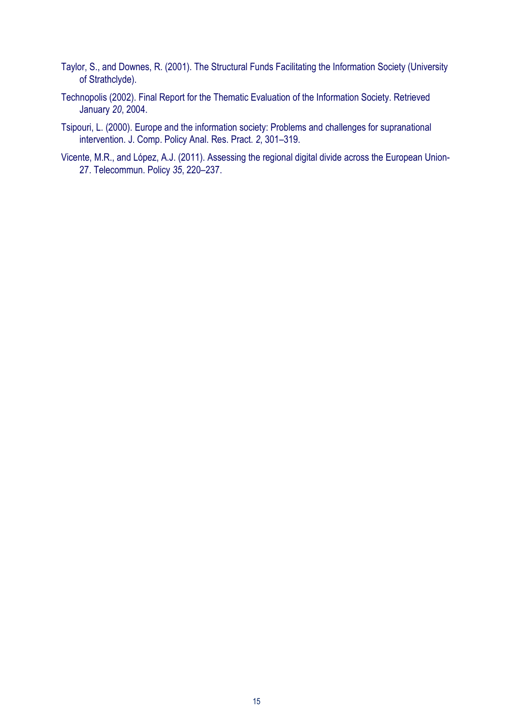- Taylor, S., and Downes, R. (2001). The Structural Funds Facilitating the Information Society (University of Strathclyde).
- Technopolis (2002). Final Report for the Thematic Evaluation of the Information Society. Retrieved January *20*, 2004.
- Tsipouri, L. (2000). Europe and the information society: Problems and challenges for supranational intervention. J. Comp. Policy Anal. Res. Pract. *2*, 301–319.
- Vicente, M.R., and López, A.J. (2011). Assessing the regional digital divide across the European Union-27. Telecommun. Policy *35*, 220–237.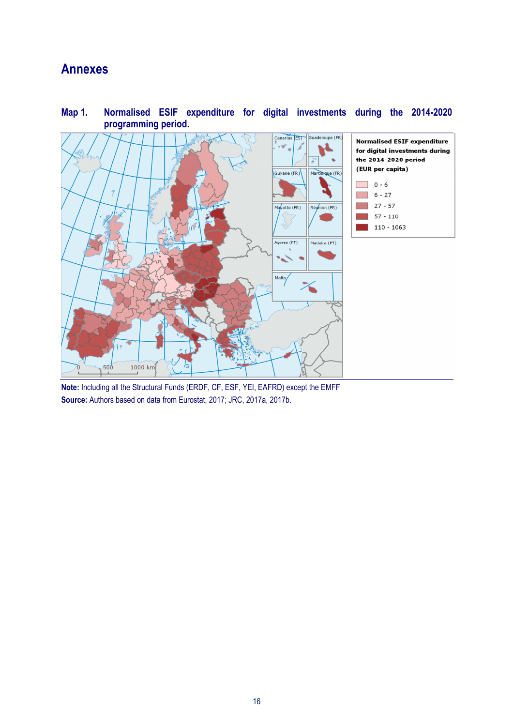## **Annexes**



**Map 1. Normalised ESIF expenditure for digital investments during the 2014-2020 programming period.** 

**Note:** Including all the Structural Funds (ERDF, CF, ESF, YEI, EAFRD) except the EMFF **Source:** Authors based on data from Eurostat, 2017; JRC, 2017a, 2017b.